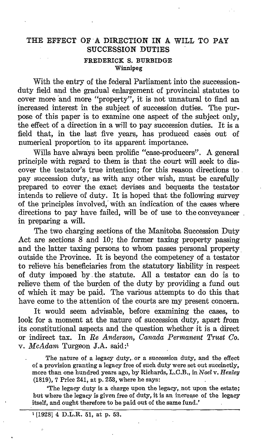## THE EFFECT OF A DIRECTION IN A WILL TO PAY SUCCESSION DUTIES FREDERICK S. BURBIDGE Winnipeg

With the entry of the federal Parliament into the successionduty field and the gradual enlargement of provincial statutes to cover more and more "property", it is not unnatural to find an increased interest in the subject of succession duties. The purpose of this paper is to examine one aspect of the subject only, the effect of a direction in a will to pay succession duties. It is a field that, in the last five years, has produced cases out of numerical proportion to its apparent importance.

Wills have always been prolific "case-producers". A general principle with regard to them is that the court will seek to discover the testator's true intention; for this reason directions to. pay succession duty, as with any other wish, must be carefully prepared to cover the exact devises and bequests the testator intends to relieve of duty. It is hoped that the following survey of the principles involved,' with an indication of the cases where directions to pay have failed, will be of use to the conveyancer . in preparing a will.

The two charging sections of the Manitoba Succession Duty Act are sections 8 and 10; the former taxing property passing and the latter taxing persons to whom passes personal property . outside the Province. It is beyond the competency of a testator to relieve his beneficiaries from the statutory liability in respect of duty imposed by .the statute. All a testator can do is to relieve them of the burden of the duty by providing a fund out of which it may be paid. The various attempts to do this that have come to the attention of the courts are my present concern.

It would seem advisable, before examining the cases, to look for a moment at the nature of succession duty, apart from its constitutional aspects and the question whether it is a direct or indirect tax. In Re Anderson, Canada Permanent Trust Co. v. McAdam Turgeon J.A. said:'

The nature of a legacy duty,. or a succession duty, and the effect of a provision granting a legacy free of such duty were set out succinctly, more than one hundred years ago, by Richards, L.C.B., in Noel v. Henley (1819), 7 Price 241, at p. 253, where he says:

The legacy duty is a charge upon the legacy, not upon the estate: but where the legacy is given free of duty, it is an increase of the legacy itself, and ought therefore to be paid out of the same fund.'

'[192814 D.L.R. 51, at p. 53.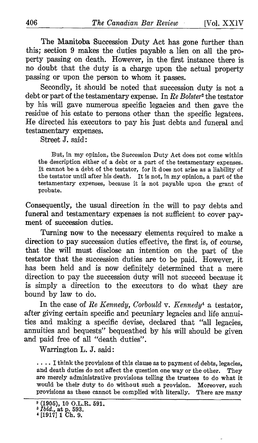The Manitoba Succession Duty Act has gone further than this; section 9 makes the duties payable a lien on all the property passing on death. However, in the first instance there is no doubt that the duty is a charge upon the actual property passing or upon the person to whom it passes.

Secondly, it should be noted that succession duty is not a debt or part of the testamentary expense. In Re Bolster<sup>2</sup> the testator by his will gave numerous specific legacies and then gave the residue of his estate to persons other than the specific legatees . He directed his executors to pay his just debts and funeral and testamentary expenses .

Street J. said

But, in my opinion, the Succession Duty Act does not come within the description either of a debt or a part of the testamentary expenses. It cannot be a debt of the testator, for it does not arise as a liability of the testator until after his death. It is not, in my opinion, <sup>a</sup> part of the testamentary expenses, because it is not payable upon the grant of probate.

Consequently, the usual direction in the will to pay debts and funeral and testamentary expenses is not sufficient to cover payment of succession duties.

Turning now to the necessary elements required to make a direction to pay succession duties effective, the first is, of course, that the will must disclose an intention on the part of the testator that the succession duties are to be paid. However, it has been held and is now definitely determined that a mere direction to pay the succession duty will not succeed because it is simply a direction to the executors to do what they are bound by law to do.

In the case of Re Kennedy, Corbould v. Kennedy<sup>4</sup> a testator, after giving certain specific and pecuniary legacies and life annuities and making a specific devise, declared that "all legacies, annuities and bequests" bequeathed by his will should be given and paid free of all "death duties".

Warrington L. J. said :

.... I think the provisions of this clause as to payment of debts, legacies, and death duties do not affect the question one way or the other. They are merely administrative provisions telling the trustees to do what it would be their duty to do without such a provision. Moreover, such provisions as these cannot be complied with literally. There are many provisions as these cannot be complied with literally.

<sup>&</sup>lt;sup>2</sup> (1905), 10 O.L.R. 591.<br><sup>3</sup> *Ibid.*, at p. 593.<br><sup>4</sup> [1917] 1 Ch. 9.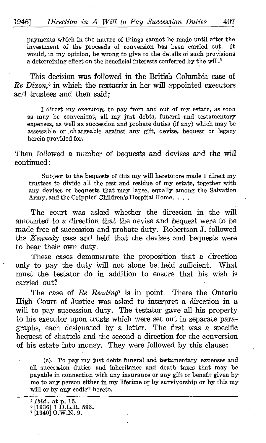payments which in the nature of things cannot be made until after the investment of the proceeds of conversion has been carried out. It investment of the proceeds of conversion has been carried out. would, in my opinion, be wrong to give to the details of such provisions a determining effect on the beneficial interests conferred by the will.<sup>5</sup>

This decision was followed in the British Columbia case of  $Re \, Dixon.$ <sup>6</sup> in which the textatrix in her will appointed executors and trustees and then said:

<sup>I</sup> direct my executors to pay from and out of my estate, as soon as may be convenient, all my just debts, funeral and testamentary expenses, as well as succession and probate duties (if any) which may be assessable or , chargeable against any gift, devise, bequest or legacy herein provided for.

Then followed a number of bequests and devises and the will continued:

Subject to the bequests of this my will heretofore made I direct my trustees to divide all the rest and residue of my estate, together with any devises or bequests that may lapse, equally among the Salvation Army, and the Crippled Children's Hospital Home. . . .

The court was asked whether the direction in the will amounted to a direction that the devise and bequest were to be made free of succession and probate duty. Robertson J, followed the *Kennedy* case and held that the devises and bequests were to bear their own duty.

These cases demonstrate the proposition that a direction only to pay the duty will not alone be . held sufficient. What must the testator do in addition to ensure that his wish is carried out?

The case of Re Reading<sup>7</sup> is in point. There the Ontario High Court of Justice was asked to interpret a direction in a will to pay succession duty. The testator gave all his property to his executor upon trusts which were set out in separate paragraphs, each designated by a letter. The first was a specific bequest of chattels and the second a direction for the conversion of his estate into money. They were followed by this clause :

(c). To pay my just debts funeral and testamentary expenses and, all succession duties and inheritance and death taxes that may be payable in connection with any insurance or any gift or benefit given by me to any person either in my lifetime or by survivorship or by this my will or by any codicil hereto.

<sup>5</sup> Ibid., at p. 15. <sup>e</sup> [1936] <sup>1</sup> D.L.R. 593. <sup>7</sup> [19401 O.W.N. 9.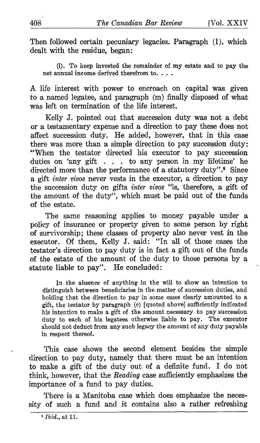Then followed certain pecuniary legacies. Paragraph (1), which dealt with the residue, began:

(1) . To keep invested the remainder of my estate and to pay the net annual income derived therefrom to. . . .

A life interest with power to encroach on capital was given to a named legatee, and paragraph (m) finally disposed of what was left on termination of the life interest.

Kelly J. pointed out that succession duty was not a debt or a testamentary expense and a direction to pay these does not affect succession duty. He added, however, that in this case there was more than a simple direction to pay succession duty : "When the testator directed his executor to pay succession duties on 'any gift . . . to any person in my lifetime' he directed more than the performance of a statutory duty".<sup>8</sup> Since a gift inter vivos never vests in the executor, a direction to pay the succession duty on gifts inter vivos "is, therefore, a gift of the amount of the duty", which must be paid out of the funds of the estate.

The same reasoning applies to money payable under a policy of insurance or property given to some person by right of survivorship ; these classes of property also never vest in the executor. Of them, Kelly J. said: "In all of those cases the testator's direction to pay duty is in fact a gift out of the funds of the estate of the amount of the duty to those persons by a statute liable to pay". He concluded:

In the absence of anything in the will to show an intention to distinguish between beneficiaries in the matter of succession duties, and holding that the direction to pay in some cases clearly amounted to a gift, the testator by paragraph (c) [quoted above] sufficiently indicated his intention to make a gift of the amount necessary to pay succession duty to each of his legatees otherwise liable to pay. The executor should not deduct from any such legacy the amount of any duty payable in respect thereof.

This case shows the second element besides the simple direction to pay duty, namely that there must be an intention to make a gift of the duty out of a definite fund. I do not think, however, that the Reading case sufficiently emphasizes the importance of a fund to pay duties.

There is a Manitoba case which does emphasize the necessity of such a fund and it contains also a rather refreshing

 $$ Ibid., at 11.$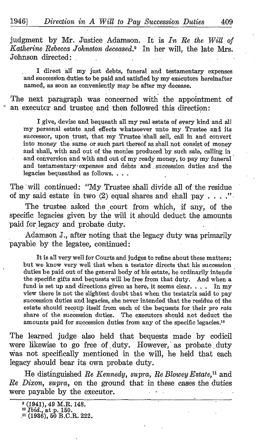judgment by Mr. Justice Adamson. It is  $In$  Re the Will of Katherine Rebecca Johnston deceased.<sup>9</sup> In her will, the late Mrs. Johnson directed

<sup>I</sup> direct alf my just debts, funeral and testamentary expenses and succession duties to be paid and satisfied by my executors hereinafter named, as soon as conveniently may be after my decease.

The next paragraph was concerned with the appointment of an executor and trustee and then followed this direction:

<sup>I</sup> give, devise and bequeath all my real estate of every kind and all my personal estate and effects whatsoever unto\_ my Trustee and its successor, upon trust, that my Trustee 'shall sell, call in and convert into money the same or such part thereof as shall not consist of money and shall, with and out of the monies produced by such sale, calling in and. conversion and with and out of my ready money, to pay my funeral and testamentary expenses and debts and succession duties and the legacies bequeathed as follows. . . . .

The will continued: "My Trustee shall divide all of the residue of my said estate in two  $(2)$  equal shares and shall pay  $\ldots$ .

The trustee asked the court from which, if any, of the specific legacies given by the will it should deduct the amounts paid for legacy and probate duty.

Adamson J., after noting that the legacy duty was primarily payable by the legatee, continued ,

It is all verywell for Courts and judges to refine about these matters ; but we know very well that when a testator directs that his succession duties be paid out of the general body of his estate, he ordinarily intends the specific gifts and bequests will be free from that duty. And when a fund is set up and directions given as here, it seems clear. . . . In my view there is not the slightest doubt that when the testatrix said to pay succession duties and legacies, she never intended that the residue of the estate should recoup itself from each of the bequests for their pro rata share of the succession duties. The executors should not deduct the amounts paid for succession duties from any of the specific legacies.<sup>10</sup>

The learned judge also held that bequests made by codicil were likewise to go free of duty. However, as probate duty was not specifically mentioned in the will, he held that each legacy should bear its own probate duty.

He distinguished Re Kennedy, supra, Re Blowey Estate,<sup>11</sup> and Re Dixon, supra, on the ground that in these cases the duties were payable by the executor.

<sup>9</sup> (1941), <sup>49</sup> M.R. 148.

<sup>10</sup> Ibid., at p. 150. ?1 (1936), <sup>50</sup> B.C.R. 222.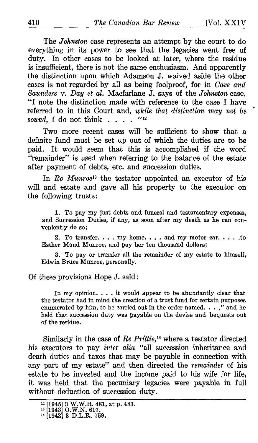The Johnston case represents an attempt by the court to do everything in its power to see that the legacies went free of duty. In other cases to be looked at later, where the residue is insufficient, there is not the same enthusiasm. And apparently the distinction upon which Adamson J. waived aside the other cases is not regarded by all as being foolproof, for in Cave and Saunders v. Day et al. Macfarlane J. says of the Johnston case, "I note the distinction made with reference to the case I have referred to in this Court and, while that distinction may not be sound I do not think sound, I do not think  $\ldots$ .

Two more recent cases will be sufficient to show that a definite fund must be set up out of which the duties are to be paid. It would seem that this is accomplished if the word "remainder" is used when referring to the balance of the estate after payment of debts, etc. and succession duties.

In Re Munroe<sup>13</sup> the testator appointed an executor of his will and estate and gave all his property to the executor on the following trusts :

1. To pay my just debts and funeral and testamentary expenses, and Succession Duties, if any, as soon after my death as he can conveniently do so:

2. To transfer.  $\dots$  my home.  $\dots$  and my motor car.  $\dots$  to Esther Maud Munroe, and pay her ten thousand dollars ;

3. To pay or transfer all the remainder of my estate to himself, Edwin Bruce Munroe, personally.

Of these provisions Hope J. said

In my opinion. . . . it would appear to be abundantly clear that the testator had in mind the creation of a trust fund for certain purposes enumerated by him, to be carried out in the order named. . . ," and he held that succession duty was payable on the devise and bequests out of the residue.

Similarly in the case of Re Prittie, <sup>14</sup> where a testator directed his executors to pay inter alia "all succession inheritance and death duties and taxes that may be payable in connection with any part of my estate" and then directed the remainder of his estate to be invested and the income paid to his wife for life, it was held that the pecuniary legacies were payable in full without deduction of succession duty.

<sup>12</sup> [194513 W.W.R. 481, at p. 483. <sup>13</sup> [19431 O.W.N. 617. <sup>14</sup> [19421 <sup>3</sup> D.L.R. 759.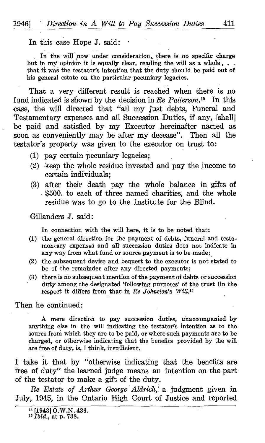In this case Hope J. said

In the will now under consideration, there is no specific charge but in my opinion it is equally clear, reading the will as a whole, ... that it was the testator's intention that the duty should be paid out of his general estate on the particular pecuniary legacies.

That a very different result is reached when there is no fund indicated is shown by the decision in Re Patterson.<sup>15</sup> In this case, the will directed that "all my just debts, Funeral and Testamentary expenses and all Succession Duties, if any, (shall] be paid and satisfied by my Executor hereinafter named as soon as conveniently may be after my decease". Then all the testator's property was given to the executor on trust to :

- (1) pay certain pecuniary legacies;
- $(2)$  keep the whole residue invested and pay the income to certain individuals ;
- (3) after their death pay the whole balance in gifts of \$500. to each of three named charities, and the whole residue was to go to the Institute for the Blind.

Gillanders J. said :

In connection with the will here, it is to be noted that:

- (1) the general direction for the payment of debts, funeral and testamentary expenses and all succession duties does not indicate in any way from what fund or source payment is to be made;
- (2) the subsequent devise and bequest to the executor is not stated to be of the remainder after any directed payments;
- (3) there is no subsequent mention of the payment of debts or succession duty among the designated `following purposes' of the trust (in the respect it differs from that in Re Johnston's Will.<sup>16</sup>

Then he continued :

A mere direction to pay succession duties, unaccompanied by anything else in the will indicating the testator?s intention as to the source from which they are to be paid, or where such payments are to be charged, or otherwise indicating that the benefits provided by the will are free of duty, is, I think, insufficient.

I take it that by "otherwise indicating that the benefits are free of duty" the learned judge means an intention on the part of the testator to make a gift of the duty.

Re Estate of Arthur George Aldrich, a judgment given in July, 1945, in the Ontario High Court of Justice and reported

<sup>16</sup> [19431 O.W.N. 436.

<sup>16</sup> Ibid., at p. 738.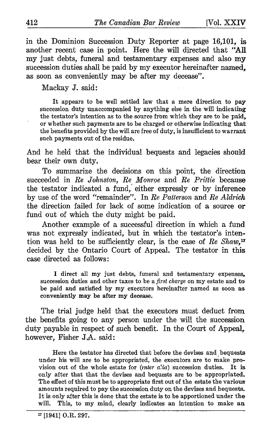in the Dominion Succession Duty Reporter at page 16,101, is another recent case in point. Here the will directed that "All my just debts, funeral and testamentary expenses and also my succession duties shall be paid by my executor hereinafter named. as soon as conveniently may be after my decease".

Mackay J. said :

It appears to be well settled law that a mere direction to pay succession duty unaccompanied by anything else in the will indicating the testator's intention as to the source from which they are to be paid, or whether such payments are to be charged or otherwise indicating that the benefits provided by the will are free of duty, is insufficient to warrant such payments out of the residue.

And he held that the individual bequests and legacies should bear their own duty.

To summarize the decisions on this point, the direction succeeded in Re Johnston, Re Monroe and Re Prittie because the testator indicated a fund, either expressly or by inference by use of the word "remainder". In Re Patterson and Re Aldrich the direction failed for lack of some indication of a source or fund out of which the duty might be paid.

Another example of a successful direction in which a fund was not expressly indicated, but in which the testator's intention was held to be sufficiently clear, is the case of  $Re Shaw$ ,<sup>17</sup> decided by the Ontario Court of Appeal. The testator in this case directed as follows :

<sup>I</sup> direct all my just debts, funeral and testamentary expenses, succession duties and other taxes to be <sup>a</sup> first charge on my estate and to be paid and satisfied by my executors hereinafter named as soon as conveniently may be after my decease.

The trial judge held that the executors must deduct from the benefits going to any person under the will the succession duty payable in respect of such benefit. In the Court of Appeal, however, Fisher J.A. said :

Here the testator has directed that before the devises and bequests under his will are to be appropriated, the executors are to make provision out of the whole estate for *(nter alia)* succession duties. It is vision out of the whole estate for  $(nter\ alia)$  succession duties. only after that that the devises and bequests are to be appropriated . The effect of this must be to appropriate first out of the estate the various amounts required to pay the succession duty on the devises and bequests. It is only after this is done that the estate is to be apportioned under the will. This, to my mind, clearly indicates an intention to make an This, to my mind, clearly indicates an intention to make an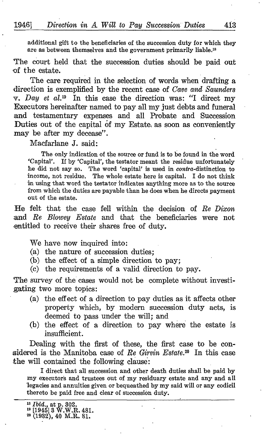additional gift to the beneficiaries of the succession duty for which they are as between themselves and the government primarily liable.18

The court held that the succession duties should be paid out of the estate.

The care required in the selection of words when drafting a direction is exemplified by the recent case of Cave and Saunders v. Day et al.<sup>19</sup> In this case the direction was: "I direct my Executors hereinafter named to pay all my just debts and funeral and testamentary expenses and all Probate and Succession Duties out of the capital of my Estate as soon as conveniently may be after my decease".

Macfarlane J. said:

The only indication of the source or fund is to be found in the word `Capital' . If by `Capital', the testator meant the residue unfortunately he did not say so. The word 'capital' is used in *contra*-distinction to income, not residue. The whole estate here is capital. I do not think in using that word the testator indicates anything more as to the source from which the duties are payable than he does when he directs payment out of the estate .

He felt that the case fell within the decision of Re Dixon and Re Blowey Estate and that the beneficiaries were not entitled to receive their shares free of duty.

We have now inquired into:

- (a) the nature of succession duties;
- (b) the effect of a simple direction to pay;
- (c) the requirements of a valid direction to pay.

The survey of the cases would not be complete without investigating two more topics :

- (a) the effect of a direction to pay duties as it affects other property which, by modern succession duty acts, is deemed to pass under the will; and
- (b) the effect of a direction to pay where the estate is insufficient .

Dealing with the first of these, the first case to be considered is the Manitoba case of Re Girvin Estate.<sup>20</sup> In this case the will contained the following clause:

I direct that all succession and other death duties shall be paid by my executors and trustees out of my residuary estate and any and all legacies and annuities given or bequeathed by my said will or any codicil thereto be paid free and clear of succession duty.

<sup>&</sup>lt;sup>18</sup> *Ibid.*, at p. 302.<br><sup>19</sup> [1945] 3 W.W.R. 481.<br><sup>20</sup> (1932), 40 M.R. 81.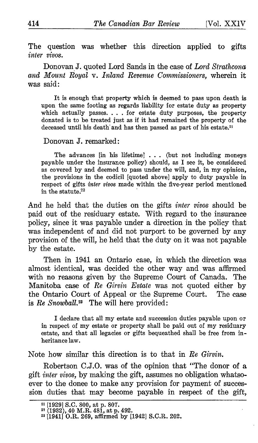The question was whether this direction applied to gifts inter vivos.

Donovan J. quoted Lord Sands in the case of Lord Strathcona and Mount Royal v. Inland Revenue Commissioners, wherein it was said :

It is enough that property which is deemed to pass upon death is upon the same footing as regards liability for estate duty as property which actually passes. . . . for estate duty purposes, the property donated is to be treated just as if it had remained the property of the deceased until his death and has then passed as part of his estate.<sup>21</sup>

## Donovan J. remarked :

The advances [in his lifetime]  $\ldots$  (but not including moneys payable under the insurance policy) should, as I see it, be considered as covered by and deemed to pass under the will, and, in my opinion, the provisions in the codicil [quoted above] apply to duty payable in respect of gifts inter vivos made within the five-year period mentioned in the statute . 22

And he held that the duties on the gifts *inter vivos* should be paid out of the residuary estate. With regard to the insurance policy, since it was payable under a direction in the policy that was independent of and did not purport to be governed by any provision of the will, he held that the duty on it was not payable by the estate.

Then in 1941 an Ontario case, in which the direction was almost identical, was decided the other way and was affirmed with no reasons given by the Supreme Court of Canada. The Manitoba case of Re Girvin Estate was not quoted either by the Ontario Court of Appeal or the Supreme Court. The case is  $Re$  Snowball.<sup>23</sup> The will here provided:

<sup>I</sup> declare that all my estate and succession duties payable upon or in respect of my estate or property shall be paid out of my residuary estate, and that all legacies or gifts bequeathed shall be free from inheritance law.

Note how similar this direction is to that in Re Girmn.

Robertson C.J.O. was of the opinion that "The donor of a gift inter vivos, by making the gift, assumes no obligation whatsoever to the donee to make any provision for payment of succes sion duties that may become payable in respect of the gift,

<sup>21</sup> [19291 S.C. 800, at p. 807. <sup>22</sup> (1932), <sup>40</sup> M.R. 481, at p. 492. <sup>23</sup> [1941] O.R. 269, affirmed by [1942] S.C.R. 202.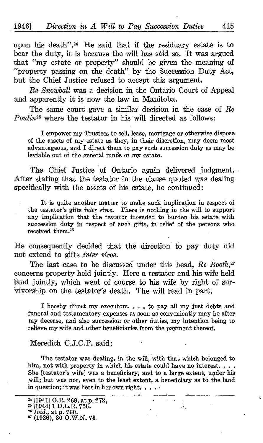upon his death". $24$  He said that if the residuary estate is to bear the duty, it is because the will has said so. It was argued that "my estate or property" should be given the meaning of "property passing on the death". by the Succession Duty Act, but the Chief Justice refused to accept this argument.

Re Snowball was a decision in the Ontario Court of Appeal and apparently it is now the law in Manitoba.

The same court gave a similar decision in the case of Re Poulin<sup>25</sup> where the testator in his will directed as follows:

<sup>I</sup> empower my Trustees to sell, lease, mortgage or otherwise dispose of the assets of my estate as they, in their discretion, may deem most advantageous, and <sup>I</sup> direct them to pay such succession duty as may be leviable out of the general funds of my estate .

The Chief Justice of Ontario again delivered judgment. After stating that the testator in the clause quoted was dealing specifically with the assets of his estate, he continued:

It is quite another matter to make such implication in respect of the testator's gifts inter vivos. There is nothing in the will to support any implication that the testator intended to burden his estate with succession duty in respect of such gifts, in relief of the persons who received them.<sup>26</sup>

He consequently decided that the direction to pay duty did not extend to gifts .inter vivos.

The last case to be discussed under this head, Re Booth,<sup>27</sup> concerns property held jointly. Here a testator and his wife held land jointly, which went of course to his wife by right of survivorship on the testator's death. The will read in part:

<sup>I</sup> hereby direct my executors . . . . to pay all my just debts and funeral and testamentary expenses as soon as conveniently may be after my decease, and also succession or other duties, my intention being to relieve my wife and other beneficiaries from the payment thereof.

## Meredith C.J.C.P. said :

The testator was dealing, in the will, with that which belonged to him, not with property in which his estate could have no interest. . . . She [testator's wife] was a beneficiary, and to a large extent, under his will; but was not, even to the least extent, a beneficiary as to the land in question ; it was hers in her own right. . . .

<sup>&</sup>lt;sup>24</sup> [1941] O.R. 269, at p. 272,<br><sup>25</sup> [1944] 1 D.L.R. 756.<br><sup>26</sup> *Ibid* at p. 760.

<sup>&</sup>lt;sup>26</sup> *Ibid.*, at p. 760.<br><sup>27</sup> (1926), 30 O.W.N. 73.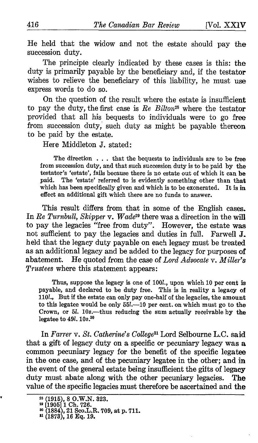He held that the widow and not the estate should pay the succession duty.

The principle clearly indicated by these cases is this: the duty is primarily payable by the beneficiary and, if the testator wishes to relieve the beneficiary of this liability, he must use express words to do so.

On the question of the result where the estate is insufficient to pay the duty, the first case is  $Re\,Bilton^{28}$  where the testator provided that all his bequests to individuals were to go free from succession duty, such duty as might be payable thereon to be paid by the estate.

Here Middleton J. stated :

The direction . . . that the bequests to individuals are to be free from succession duty, and that such succession duty is to be paid by the testator's 'estate', fails because there is no estate out of which it can be paid. The 'estate' referred to is evidently something other than that The 'estate' referred to is evidently something other than that<br>has been specifically given and which is to be exonerated. It is in which has been specifically given and which is to be exonerated. effect an additional gift which there are no funds to answer .

This result differs from that in some of the English cases. In Re Turnbull, Skipper v. Wade<sup>29</sup> there was a direction in the will to pay the legacies "free from duty". However, the estate was not sufficient to pay the legacies and duties in full. Farwell J. held that the legacy duty payable on each legacy must be treated as an additional legacy and be added to the legacy for purposes of abatement. He quoted from the case of  $Lord$   $Advocate$  v.  $Miller's$ Trustees where this statement appears:

Thus, suppose the legacy is one of 100l., upon which 10 per cent is payable, and declared to be duty free. This is in reality a legacy of 110l., But if the estate can only pay one-half of the legacies, the amount to this legatee would be only 55l.—10 per cent. on which must go to the Crown, or 5l. 10s.—thus reducing the sum actually receivable by the legatee to  $49l$ ,  $10s$ <sup>30</sup>

In Farrer v. St. Catherine's College<sup>31</sup> Lord Selbourne L.C. said that a gift of legacy duty on a specific or pecuniary legacy was a common pecuniary legacy for the benefit of the specific legatee in the one case, and of the pecuniary legatee in the other; and in the event of the general estate being insufficient the gifts of legacy<br>duty must abate along with the other pecuniary legacies. The duty must abate along with the other pecuniary legacies. value of the specific legacies must therefore be ascertained and the

<sup>28</sup> (1915), <sup>8</sup> O.W.N. 323. <sup>29</sup> [190511 Ch. 726. <sup>30</sup> (1884), 21 Sco.L.R. 709, at p. 711. tt (1873), 16 Eq. 19.